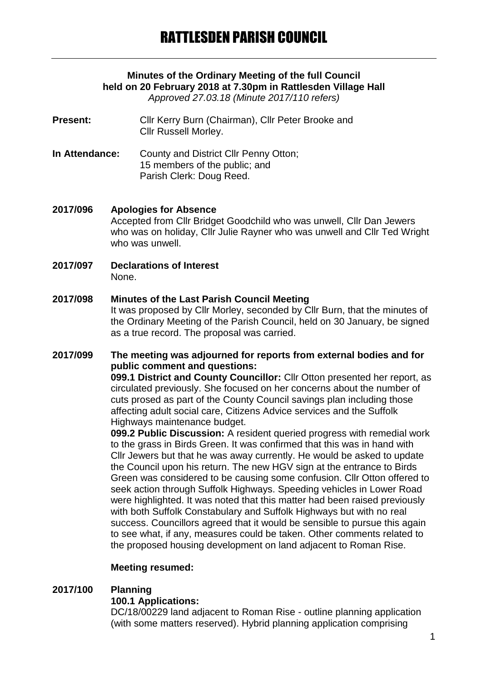# **Minutes of the Ordinary Meeting of the full Council held on 20 February 2018 at 7.30pm in Rattlesden Village Hall**

*Approved 27.03.18 (Minute 2017/110 refers)*

- **Present:** Cllr Kerry Burn (Chairman), Cllr Peter Brooke and Cllr Russell Morley.
- **In Attendance:** County and District Cllr Penny Otton; 15 members of the public; and Parish Clerk: Doug Reed.
- **2017/096 Apologies for Absence** Accepted from Cllr Bridget Goodchild who was unwell, Cllr Dan Jewers who was on holiday, Cllr Julie Rayner who was unwell and Cllr Ted Wright who was unwell.
- **2017/097 Declarations of Interest** None.

#### **2017/098 Minutes of the Last Parish Council Meeting** It was proposed by Cllr Morley, seconded by Cllr Burn, that the minutes of the Ordinary Meeting of the Parish Council, held on 30 January, be signed as a true record. The proposal was carried.

## **2017/099 The meeting was adjourned for reports from external bodies and for public comment and questions:**

**099.1 District and County Councillor:** Cllr Otton presented her report, as circulated previously. She focused on her concerns about the number of cuts prosed as part of the County Council savings plan including those affecting adult social care, Citizens Advice services and the Suffolk Highways maintenance budget.

**099.2 Public Discussion:** A resident queried progress with remedial work to the grass in Birds Green. It was confirmed that this was in hand with Cllr Jewers but that he was away currently. He would be asked to update the Council upon his return. The new HGV sign at the entrance to Birds Green was considered to be causing some confusion. Cllr Otton offered to seek action through Suffolk Highways. Speeding vehicles in Lower Road were highlighted. It was noted that this matter had been raised previously with both Suffolk Constabulary and Suffolk Highways but with no real success. Councillors agreed that it would be sensible to pursue this again to see what, if any, measures could be taken. Other comments related to the proposed housing development on land adjacent to Roman Rise.

## **Meeting resumed:**

## **2017/100 Planning**

## **100.1 Applications:**

DC/18/00229 land adjacent to Roman Rise - outline planning application (with some matters reserved). Hybrid planning application comprising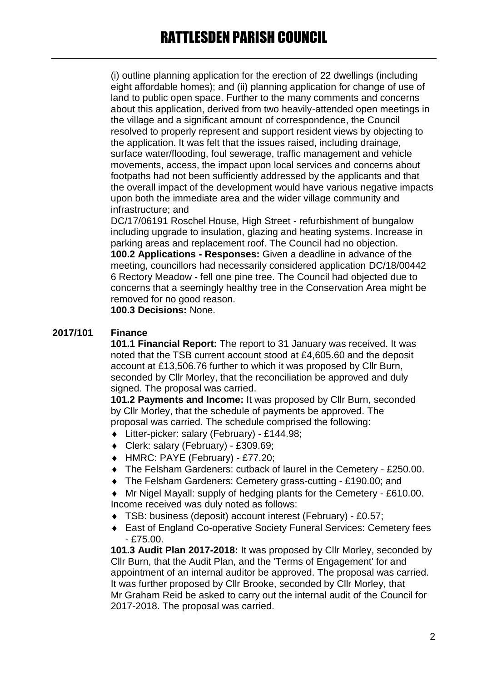(i) outline planning application for the erection of 22 dwellings (including eight affordable homes); and (ii) planning application for change of use of land to public open space. Further to the many comments and concerns about this application, derived from two heavily-attended open meetings in the village and a significant amount of correspondence, the Council resolved to properly represent and support resident views by objecting to the application. It was felt that the issues raised, including drainage, surface water/flooding, foul sewerage, traffic management and vehicle movements, access, the impact upon local services and concerns about footpaths had not been sufficiently addressed by the applicants and that the overall impact of the development would have various negative impacts upon both the immediate area and the wider village community and infrastructure; and

DC/17/06191 Roschel House, High Street - refurbishment of bungalow including upgrade to insulation, glazing and heating systems. Increase in parking areas and replacement roof. The Council had no objection. **100.2 Applications - Responses:** Given a deadline in advance of the meeting, councillors had necessarily considered application DC/18/00442 6 Rectory Meadow - fell one pine tree. The Council had objected due to concerns that a seemingly healthy tree in the Conservation Area might be removed for no good reason.

**100.3 Decisions:** None.

## **2017/101 Finance**

**101.1 Financial Report:** The report to 31 January was received. It was noted that the TSB current account stood at £4,605.60 and the deposit account at £13,506.76 further to which it was proposed by Cllr Burn, seconded by Cllr Morley, that the reconciliation be approved and duly signed. The proposal was carried.

**101.2 Payments and Income:** It was proposed by Cllr Burn, seconded by Cllr Morley, that the schedule of payments be approved. The proposal was carried. The schedule comprised the following:

- Litter-picker: salary (February) £144.98;
- Clerk: salary (February) £309.69;
- HMRC: PAYE (February) £77.20;
- The Felsham Gardeners: cutback of laurel in the Cemetery £250.00.
- The Felsham Gardeners: Cemetery grass-cutting £190.00; and
- Mr Nigel Mayall: supply of hedging plants for the Cemetery £610.00. Income received was duly noted as follows:
- TSB: business (deposit) account interest (February) £0.57;
- East of England Co-operative Society Funeral Services: Cemetery fees - £75.00.

**101.3 Audit Plan 2017-2018:** It was proposed by Cllr Morley, seconded by Cllr Burn, that the Audit Plan, and the 'Terms of Engagement' for and appointment of an internal auditor be approved. The proposal was carried. It was further proposed by Cllr Brooke, seconded by Cllr Morley, that Mr Graham Reid be asked to carry out the internal audit of the Council for 2017-2018. The proposal was carried.